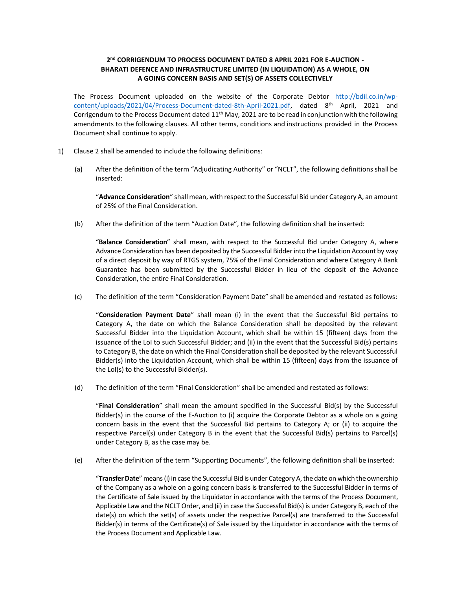# 2<sup>nd</sup> CORRIGENDUM TO PROCESS DOCUMENT DATED 8 APRIL 2021 FOR E-AUCTION -BHARATI DEFENCE AND INFRASTRUCTURE LIMITED (IN LIQUIDATION) AS A WHOLE, ON A GOING CONCERN BASIS AND SET(S) OF ASSETS COLLECTIVELY

The Process Document uploaded on the website of the Corporate Debtor http://bdil.co.in/wpcontent/uploads/2021/04/Process-Document-dated-8th-April-2021.pdf, dated 8th April, 2021 and Corrigendum to the Process Document dated  $11<sup>th</sup>$  May, 2021 are to be read in conjunction with the following amendments to the following clauses. All other terms, conditions and instructions provided in the Process Document shall continue to apply.

- 1) Clause 2 shall be amended to include the following definitions:
	- (a) After the definition of the term "Adjudicating Authority" or "NCLT", the following definitions shall be inserted:

"Advance Consideration" shall mean, with respect to the Successful Bid under Category A, an amount of 25% of the Final Consideration.

(b) After the definition of the term "Auction Date", the following definition shall be inserted:

"Balance Consideration" shall mean, with respect to the Successful Bid under Category A, where Advance Consideration has been deposited by the Successful Bidder into the Liquidation Account by way of a direct deposit by way of RTGS system, 75% of the Final Consideration and where Category A Bank Guarantee has been submitted by the Successful Bidder in lieu of the deposit of the Advance Consideration, the entire Final Consideration.

(c) The definition of the term "Consideration Payment Date" shall be amended and restated as follows:

"Consideration Payment Date" shall mean (i) in the event that the Successful Bid pertains to Category A, the date on which the Balance Consideration shall be deposited by the relevant Successful Bidder into the Liquidation Account, which shall be within 15 (fifteen) days from the issuance of the LoI to such Successful Bidder; and (ii) in the event that the Successful Bid(s) pertains to Category B, the date on which the Final Consideration shall be deposited by the relevant Successful Bidder(s) into the Liquidation Account, which shall be within 15 (fifteen) days from the issuance of the LoI(s) to the Successful Bidder(s).

(d) The definition of the term "Final Consideration" shall be amended and restated as follows:

"Final Consideration" shall mean the amount specified in the Successful Bid(s) by the Successful Bidder(s) in the course of the E-Auction to (i) acquire the Corporate Debtor as a whole on a going concern basis in the event that the Successful Bid pertains to Category A; or (ii) to acquire the respective Parcel(s) under Category B in the event that the Successful Bid(s) pertains to Parcel(s) under Category B, as the case may be.

(e) After the definition of the term "Supporting Documents", the following definition shall be inserted:

"Transfer Date" means (i) in case the Successful Bid is under Category A, the date on which the ownership of the Company as a whole on a going concern basis is transferred to the Successful Bidder in terms of the Certificate of Sale issued by the Liquidator in accordance with the terms of the Process Document, Applicable Law and the NCLT Order, and (ii) in case the Successful Bid(s) is under Category B, each of the date(s) on which the set(s) of assets under the respective Parcel(s) are transferred to the Successful Bidder(s) in terms of the Certificate(s) of Sale issued by the Liquidator in accordance with the terms of the Process Document and Applicable Law.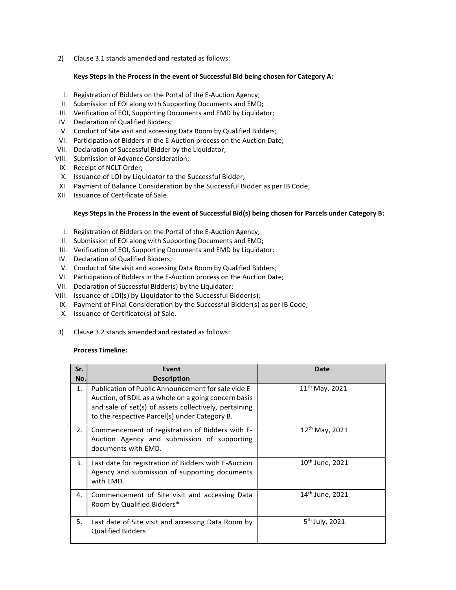2) Clause 3.1 stands amended and restated as follows:

## Keys Steps in the Process in the event of Successful Bid being chosen for Category A:

- I. Registration of Bidders on the Portal of the E-Auction Agency;
- II. Submission of EOI along with Supporting Documents and EMD;
- III. Verification of EOI, Supporting Documents and EMD by Liquidator;
- IV. Declaration of Qualified Bidders;
- V. Conduct of Site visit and accessing Data Room by Qualified Bidders;
- VI. Participation of Bidders in the E-Auction process on the Auction Date;
- VII. Declaration of Successful Bidder by the Liquidator;
- VIII. Submission of Advance Consideration;
- IX. Receipt of NCLT Order;
- X. Issuance of LOI by Liquidator to the Successful Bidder;
- XI. Payment of Balance Consideration by the Successful Bidder as per IB Code;
- XII. Issuance of Certificate of Sale.

## Keys Steps in the Process in the event of Successful Bid(s) being chosen for Parcels under Category B:

- I. Registration of Bidders on the Portal of the E-Auction Agency;
- II. Submission of EOI along with Supporting Documents and EMD;
- III. Verification of EOI, Supporting Documents and EMD by Liquidator;
- IV. Declaration of Qualified Bidders;
- V. Conduct of Site visit and accessing Data Room by Qualified Bidders;
- VI. Participation of Bidders in the E-Auction process on the Auction Date;
- VII. Declaration of Successful Bidder(s) by the Liquidator;
- VIII. Issuance of LOI(s) by Liquidator to the Successful Bidder(s);
- IX. Payment of Final Consideration by the Successful Bidder(s) as per IB Code;
- X. Issuance of Certificate(s) of Sale.
- 3) Clause 3.2 stands amended and restated as follows:

### Process Timeline:

| Sr.<br>No. | Event<br><b>Description</b>                                                                                                                                                                                           | <b>Date</b>                 |
|------------|-----------------------------------------------------------------------------------------------------------------------------------------------------------------------------------------------------------------------|-----------------------------|
| 1.         | Publication of Public Announcement for sale vide E-<br>Auction, of BDIL as a whole on a going concern basis<br>and sale of set(s) of assets collectively, pertaining<br>to the respective Parcel(s) under Category B. | $11^{th}$ May, 2021         |
| 2.         | Commencement of registration of Bidders with E-<br>Auction Agency and submission of supporting<br>documents with EMD.                                                                                                 | $12^{th}$ May, 2021         |
| 3.         | Last date for registration of Bidders with E-Auction<br>Agency and submission of supporting documents<br>with EMD.                                                                                                    | $10th$ June, 2021           |
| 4.         | Commencement of Site visit and accessing Data<br>Room by Qualified Bidders*                                                                                                                                           | 14 <sup>th</sup> June, 2021 |
| 5.         | Last date of Site visit and accessing Data Room by<br><b>Qualified Bidders</b>                                                                                                                                        | 5 <sup>th</sup> July, 2021  |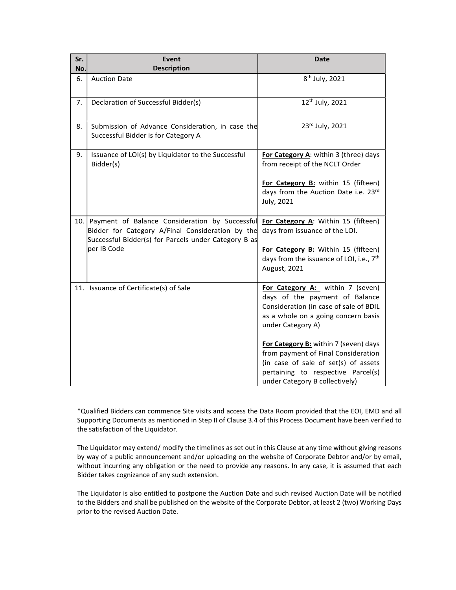| Sr.<br>No. | <b>Event</b><br><b>Description</b>                                                                                                                             | <b>Date</b>                                                                                                                                                                                                                                              |
|------------|----------------------------------------------------------------------------------------------------------------------------------------------------------------|----------------------------------------------------------------------------------------------------------------------------------------------------------------------------------------------------------------------------------------------------------|
| 6.         | <b>Auction Date</b>                                                                                                                                            | 8 <sup>th</sup> July, 2021                                                                                                                                                                                                                               |
| 7.         | Declaration of Successful Bidder(s)                                                                                                                            | 12 <sup>th</sup> July, 2021                                                                                                                                                                                                                              |
| 8.         | Submission of Advance Consideration, in case the<br>Successful Bidder is for Category A                                                                        | 23rd July, 2021                                                                                                                                                                                                                                          |
| 9.         | Issuance of LOI(s) by Liquidator to the Successful<br>Bidder(s)                                                                                                | For Category A: within 3 (three) days<br>from receipt of the NCLT Order                                                                                                                                                                                  |
|            |                                                                                                                                                                | For Category B: within 15 (fifteen)<br>days from the Auction Date i.e. 23rd<br>July, 2021                                                                                                                                                                |
|            | 10. Payment of Balance Consideration by Successful<br>Bidder for Category A/Final Consideration by the<br>Successful Bidder(s) for Parcels under Category B as | For Category A: Within 15 (fifteen)<br>days from issuance of the LOI.                                                                                                                                                                                    |
|            | per IB Code                                                                                                                                                    | For Category B: Within 15 (fifteen)<br>days from the issuance of LOI, i.e., 7 <sup>th</sup><br>August, 2021                                                                                                                                              |
|            | 11. Issuance of Certificate(s) of Sale                                                                                                                         | For Category A: within 7 (seven)<br>days of the payment of Balance<br>Consideration (in case of sale of BDIL<br>as a whole on a going concern basis<br>under Category A)<br>For Category B: within 7 (seven) days<br>from payment of Final Consideration |
|            |                                                                                                                                                                | (in case of sale of set(s) of assets<br>pertaining to respective Parcel(s)<br>under Category B collectively)                                                                                                                                             |

\*Qualified Bidders can commence Site visits and access the Data Room provided that the EOI, EMD and all Supporting Documents as mentioned in Step II of Clause 3.4 of this Process Document have been verified to the satisfaction of the Liquidator.

The Liquidator may extend/ modify the timelines as set out in this Clause at any time without giving reasons by way of a public announcement and/or uploading on the website of Corporate Debtor and/or by email, without incurring any obligation or the need to provide any reasons. In any case, it is assumed that each Bidder takes cognizance of any such extension.

The Liquidator is also entitled to postpone the Auction Date and such revised Auction Date will be notified to the Bidders and shall be published on the website of the Corporate Debtor, at least 2 (two) Working Days prior to the revised Auction Date.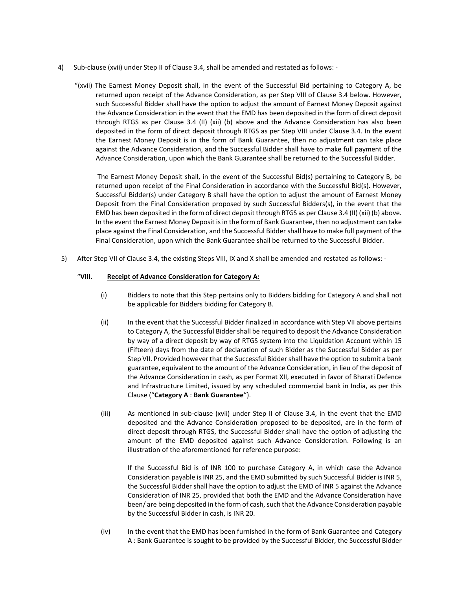- 4) Sub-clause (xvii) under Step II of Clause 3.4, shall be amended and restated as follows:
	- "(xvii) The Earnest Money Deposit shall, in the event of the Successful Bid pertaining to Category A, be returned upon receipt of the Advance Consideration, as per Step VIII of Clause 3.4 below. However, such Successful Bidder shall have the option to adjust the amount of Earnest Money Deposit against the Advance Consideration in the event that the EMD has been deposited in the form of direct deposit through RTGS as per Clause 3.4 (II) (xii) (b) above and the Advance Consideration has also been deposited in the form of direct deposit through RTGS as per Step VIII under Clause 3.4. In the event the Earnest Money Deposit is in the form of Bank Guarantee, then no adjustment can take place against the Advance Consideration, and the Successful Bidder shall have to make full payment of the Advance Consideration, upon which the Bank Guarantee shall be returned to the Successful Bidder.

 The Earnest Money Deposit shall, in the event of the Successful Bid(s) pertaining to Category B, be returned upon receipt of the Final Consideration in accordance with the Successful Bid(s). However, Successful Bidder(s) under Category B shall have the option to adjust the amount of Earnest Money Deposit from the Final Consideration proposed by such Successful Bidders(s), in the event that the EMD has been deposited in the form of direct deposit through RTGS as per Clause 3.4 (II) (xii) (b) above. In the event the Earnest Money Deposit is in the form of Bank Guarantee, then no adjustment can take place against the Final Consideration, and the Successful Bidder shall have to make full payment of the Final Consideration, upon which the Bank Guarantee shall be returned to the Successful Bidder.

5) After Step VII of Clause 3.4, the existing Steps VIII, IX and X shall be amended and restated as follows: -

## "VIII. Receipt of Advance Consideration for Category A:

- (i) Bidders to note that this Step pertains only to Bidders bidding for Category A and shall not be applicable for Bidders bidding for Category B.
- (ii) In the event that the Successful Bidder finalized in accordance with Step VII above pertains to Category A, the Successful Bidder shall be required to deposit the Advance Consideration by way of a direct deposit by way of RTGS system into the Liquidation Account within 15 (Fifteen) days from the date of declaration of such Bidder as the Successful Bidder as per Step VII. Provided however that the Successful Bidder shall have the option to submit a bank guarantee, equivalent to the amount of the Advance Consideration, in lieu of the deposit of the Advance Consideration in cash, as per Format XII, executed in favor of Bharati Defence and Infrastructure Limited, issued by any scheduled commercial bank in India, as per this Clause ("Category A : Bank Guarantee").
- (iii) As mentioned in sub-clause (xvii) under Step II of Clause 3.4, in the event that the EMD deposited and the Advance Consideration proposed to be deposited, are in the form of direct deposit through RTGS, the Successful Bidder shall have the option of adjusting the amount of the EMD deposited against such Advance Consideration. Following is an illustration of the aforementioned for reference purpose:

If the Successful Bid is of INR 100 to purchase Category A, in which case the Advance Consideration payable is INR 25, and the EMD submitted by such Successful Bidder is INR 5, the Successful Bidder shall have the option to adjust the EMD of INR 5 against the Advance Consideration of INR 25, provided that both the EMD and the Advance Consideration have been/ are being deposited in the form of cash, such that the Advance Consideration payable by the Successful Bidder in cash, is INR 20.

(iv) In the event that the EMD has been furnished in the form of Bank Guarantee and Category A : Bank Guarantee is sought to be provided by the Successful Bidder, the Successful Bidder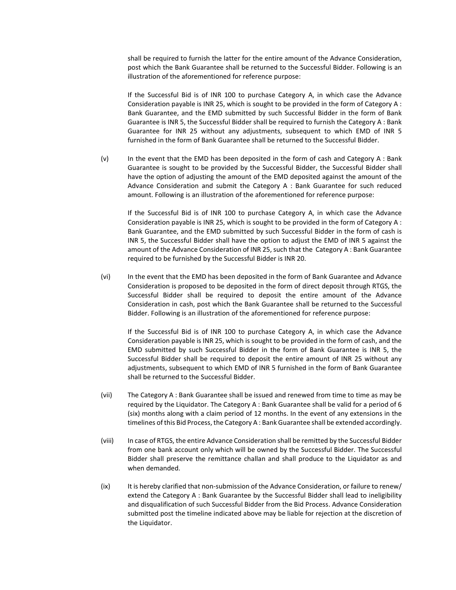shall be required to furnish the latter for the entire amount of the Advance Consideration, post which the Bank Guarantee shall be returned to the Successful Bidder. Following is an illustration of the aforementioned for reference purpose:

If the Successful Bid is of INR 100 to purchase Category A, in which case the Advance Consideration payable is INR 25, which is sought to be provided in the form of Category A : Bank Guarantee, and the EMD submitted by such Successful Bidder in the form of Bank Guarantee is INR 5, the Successful Bidder shall be required to furnish the Category A : Bank Guarantee for INR 25 without any adjustments, subsequent to which EMD of INR 5 furnished in the form of Bank Guarantee shall be returned to the Successful Bidder.

(v) In the event that the EMD has been deposited in the form of cash and Category A : Bank Guarantee is sought to be provided by the Successful Bidder, the Successful Bidder shall have the option of adjusting the amount of the EMD deposited against the amount of the Advance Consideration and submit the Category A : Bank Guarantee for such reduced amount. Following is an illustration of the aforementioned for reference purpose:

If the Successful Bid is of INR 100 to purchase Category A, in which case the Advance Consideration payable is INR 25, which is sought to be provided in the form of Category A : Bank Guarantee, and the EMD submitted by such Successful Bidder in the form of cash is INR 5, the Successful Bidder shall have the option to adjust the EMD of INR 5 against the amount of the Advance Consideration of INR 25, such that the Category A : Bank Guarantee required to be furnished by the Successful Bidder is INR 20.

(vi) In the event that the EMD has been deposited in the form of Bank Guarantee and Advance Consideration is proposed to be deposited in the form of direct deposit through RTGS, the Successful Bidder shall be required to deposit the entire amount of the Advance Consideration in cash, post which the Bank Guarantee shall be returned to the Successful Bidder. Following is an illustration of the aforementioned for reference purpose:

If the Successful Bid is of INR 100 to purchase Category A, in which case the Advance Consideration payable is INR 25, which is sought to be provided in the form of cash, and the EMD submitted by such Successful Bidder in the form of Bank Guarantee is INR 5, the Successful Bidder shall be required to deposit the entire amount of INR 25 without any adjustments, subsequent to which EMD of INR 5 furnished in the form of Bank Guarantee shall be returned to the Successful Bidder.

- (vii) The Category A : Bank Guarantee shall be issued and renewed from time to time as may be required by the Liquidator. The Category A : Bank Guarantee shall be valid for a period of 6 (six) months along with a claim period of 12 months. In the event of any extensions in the timelines of this Bid Process, the Category A : Bank Guarantee shall be extended accordingly.
- (viii) In case of RTGS, the entire Advance Consideration shall be remitted by the Successful Bidder from one bank account only which will be owned by the Successful Bidder. The Successful Bidder shall preserve the remittance challan and shall produce to the Liquidator as and when demanded.
- (ix) It is hereby clarified that non-submission of the Advance Consideration, or failure to renew/ extend the Category A : Bank Guarantee by the Successful Bidder shall lead to ineligibility and disqualification of such Successful Bidder from the Bid Process. Advance Consideration submitted post the timeline indicated above may be liable for rejection at the discretion of the Liquidator.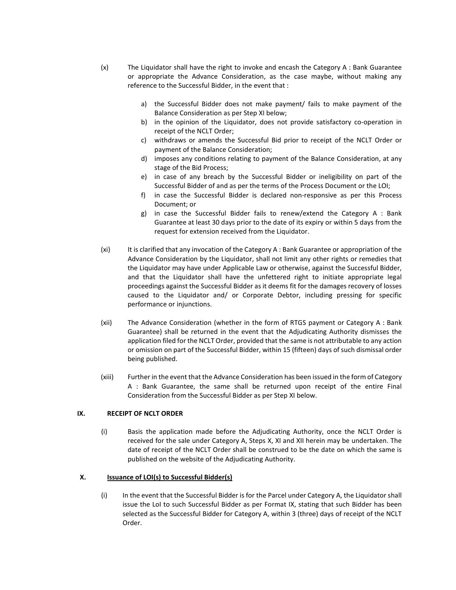- (x) The Liquidator shall have the right to invoke and encash the Category A : Bank Guarantee or appropriate the Advance Consideration, as the case maybe, without making any reference to the Successful Bidder, in the event that :
	- a) the Successful Bidder does not make payment/ fails to make payment of the Balance Consideration as per Step XI below;
	- b) in the opinion of the Liquidator, does not provide satisfactory co-operation in receipt of the NCLT Order;
	- c) withdraws or amends the Successful Bid prior to receipt of the NCLT Order or payment of the Balance Consideration;
	- d) imposes any conditions relating to payment of the Balance Consideration, at any stage of the Bid Process;
	- e) in case of any breach by the Successful Bidder or ineligibility on part of the Successful Bidder of and as per the terms of the Process Document or the LOI;
	- f) in case the Successful Bidder is declared non-responsive as per this Process Document; or
	- g) in case the Successful Bidder fails to renew/extend the Category A : Bank Guarantee at least 30 days prior to the date of its expiry or within 5 days from the request for extension received from the Liquidator.
- (xi) It is clarified that any invocation of the Category A : Bank Guarantee or appropriation of the Advance Consideration by the Liquidator, shall not limit any other rights or remedies that the Liquidator may have under Applicable Law or otherwise, against the Successful Bidder, and that the Liquidator shall have the unfettered right to initiate appropriate legal proceedings against the Successful Bidder as it deems fit for the damages recovery of losses caused to the Liquidator and/ or Corporate Debtor, including pressing for specific performance or injunctions.
- (xii) The Advance Consideration (whether in the form of RTGS payment or Category A : Bank Guarantee) shall be returned in the event that the Adjudicating Authority dismisses the application filed for the NCLT Order, provided that the same is not attributable to any action or omission on part of the Successful Bidder, within 15 (fifteen) days of such dismissal order being published.
- (xiii) Further in the event that the Advance Consideration has been issued in the form of Category A : Bank Guarantee, the same shall be returned upon receipt of the entire Final Consideration from the Successful Bidder as per Step XI below.

# IX. RECEIPT OF NCLT ORDER

(i) Basis the application made before the Adjudicating Authority, once the NCLT Order is received for the sale under Category A, Steps X, XI and XII herein may be undertaken. The date of receipt of the NCLT Order shall be construed to be the date on which the same is published on the website of the Adjudicating Authority.

# X. Issuance of LOI(s) to Successful Bidder(s)

(i) In the event that the Successful Bidder is for the Parcel under Category A, the Liquidator shall issue the LoI to such Successful Bidder as per Format IX, stating that such Bidder has been selected as the Successful Bidder for Category A, within 3 (three) days of receipt of the NCLT Order.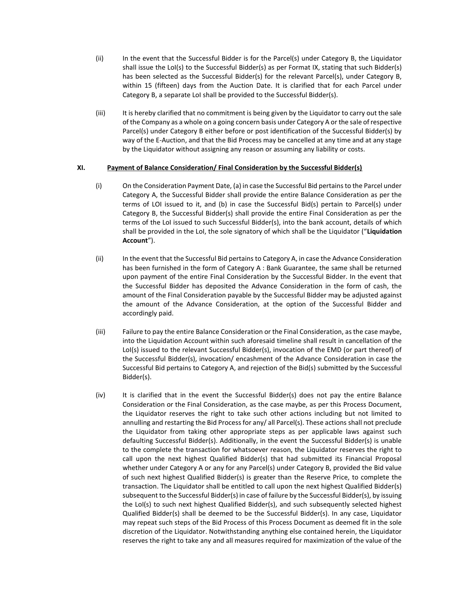- (ii) In the event that the Successful Bidder is for the Parcel(s) under Category B, the Liquidator shall issue the LoI(s) to the Successful Bidder(s) as per Format IX, stating that such Bidder(s) has been selected as the Successful Bidder(s) for the relevant Parcel(s), under Category B, within 15 (fifteen) days from the Auction Date. It is clarified that for each Parcel under Category B, a separate LoI shall be provided to the Successful Bidder(s).
- (iii) It is hereby clarified that no commitment is being given by the Liquidator to carry out the sale of the Company as a whole on a going concern basis under Category A or the sale of respective Parcel(s) under Category B either before or post identification of the Successful Bidder(s) by way of the E-Auction, and that the Bid Process may be cancelled at any time and at any stage by the Liquidator without assigning any reason or assuming any liability or costs.

## XI. Payment of Balance Consideration/ Final Consideration by the Successful Bidder(s)

- (i) On the Consideration Payment Date, (a) in case the Successful Bid pertains to the Parcel under Category A, the Successful Bidder shall provide the entire Balance Consideration as per the terms of LOI issued to it, and (b) in case the Successful Bid(s) pertain to Parcel(s) under Category B, the Successful Bidder(s) shall provide the entire Final Consideration as per the terms of the LoI issued to such Successful Bidder(s), into the bank account, details of which shall be provided in the LoI, the sole signatory of which shall be the Liquidator ("Liquidation Account").
- (ii) In the event that the Successful Bid pertains to Category A, in case the Advance Consideration has been furnished in the form of Category A : Bank Guarantee, the same shall be returned upon payment of the entire Final Consideration by the Successful Bidder. In the event that the Successful Bidder has deposited the Advance Consideration in the form of cash, the amount of the Final Consideration payable by the Successful Bidder may be adjusted against the amount of the Advance Consideration, at the option of the Successful Bidder and accordingly paid.
- (iii) Failure to pay the entire Balance Consideration or the Final Consideration, as the case maybe, into the Liquidation Account within such aforesaid timeline shall result in cancellation of the LoI(s) issued to the relevant Successful Bidder(s), invocation of the EMD (or part thereof) of the Successful Bidder(s), invocation/ encashment of the Advance Consideration in case the Successful Bid pertains to Category A, and rejection of the Bid(s) submitted by the Successful Bidder(s).
- (iv) It is clarified that in the event the Successful Bidder(s) does not pay the entire Balance Consideration or the Final Consideration, as the case maybe, as per this Process Document, the Liquidator reserves the right to take such other actions including but not limited to annulling and restarting the Bid Process for any/ all Parcel(s). These actions shall not preclude the Liquidator from taking other appropriate steps as per applicable laws against such defaulting Successful Bidder(s). Additionally, in the event the Successful Bidder(s) is unable to the complete the transaction for whatsoever reason, the Liquidator reserves the right to call upon the next highest Qualified Bidder(s) that had submitted its Financial Proposal whether under Category A or any for any Parcel(s) under Category B, provided the Bid value of such next highest Qualified Bidder(s) is greater than the Reserve Price, to complete the transaction. The Liquidator shall be entitled to call upon the next highest Qualified Bidder(s) subsequent to the Successful Bidder(s) in case of failure by the Successful Bidder(s), by issuing the LoI(s) to such next highest Qualified Bidder(s), and such subsequently selected highest Qualified Bidder(s) shall be deemed to be the Successful Bidder(s). In any case, Liquidator may repeat such steps of the Bid Process of this Process Document as deemed fit in the sole discretion of the Liquidator. Notwithstanding anything else contained herein, the Liquidator reserves the right to take any and all measures required for maximization of the value of the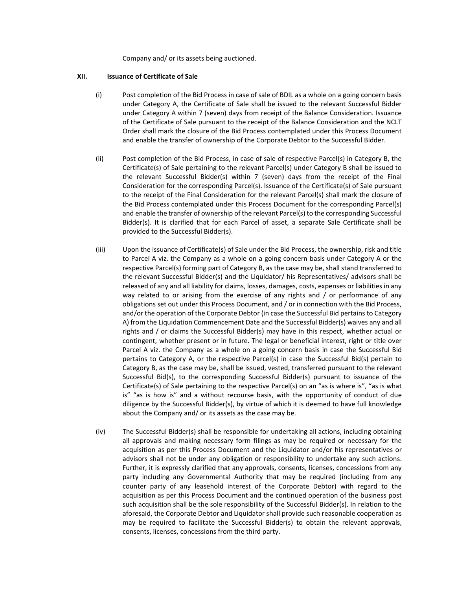Company and/ or its assets being auctioned.

### XII. Issuance of Certificate of Sale

- (i) Post completion of the Bid Process in case of sale of BDIL as a whole on a going concern basis under Category A, the Certificate of Sale shall be issued to the relevant Successful Bidder under Category A within 7 (seven) days from receipt of the Balance Consideration. Issuance of the Certificate of Sale pursuant to the receipt of the Balance Consideration and the NCLT Order shall mark the closure of the Bid Process contemplated under this Process Document and enable the transfer of ownership of the Corporate Debtor to the Successful Bidder.
- (ii) Post completion of the Bid Process, in case of sale of respective Parcel(s) in Category B, the Certificate(s) of Sale pertaining to the relevant Parcel(s) under Category B shall be issued to the relevant Successful Bidder(s) within 7 (seven) days from the receipt of the Final Consideration for the corresponding Parcel(s). Issuance of the Certificate(s) of Sale pursuant to the receipt of the Final Consideration for the relevant Parcel(s) shall mark the closure of the Bid Process contemplated under this Process Document for the corresponding Parcel(s) and enable the transfer of ownership of the relevant Parcel(s) to the corresponding Successful Bidder(s). It is clarified that for each Parcel of asset, a separate Sale Certificate shall be provided to the Successful Bidder(s).
- (iii) Upon the issuance of Certificate(s) of Sale under the Bid Process, the ownership, risk and title to Parcel A viz. the Company as a whole on a going concern basis under Category A or the respective Parcel(s) forming part of Category B, as the case may be, shall stand transferred to the relevant Successful Bidder(s) and the Liquidator/ his Representatives/ advisors shall be released of any and all liability for claims, losses, damages, costs, expenses or liabilities in any way related to or arising from the exercise of any rights and / or performance of any obligations set out under this Process Document, and / or in connection with the Bid Process, and/or the operation of the Corporate Debtor (in case the Successful Bid pertains to Category A) from the Liquidation Commencement Date and the Successful Bidder(s) waives any and all rights and / or claims the Successful Bidder(s) may have in this respect, whether actual or contingent, whether present or in future. The legal or beneficial interest, right or title over Parcel A viz. the Company as a whole on a going concern basis in case the Successful Bid pertains to Category A, or the respective Parcel(s) in case the Successful Bid(s) pertain to Category B, as the case may be, shall be issued, vested, transferred pursuant to the relevant Successful Bid(s), to the corresponding Successful Bidder(s) pursuant to issuance of the Certificate(s) of Sale pertaining to the respective Parcel(s) on an "as is where is", "as is what is" "as is how is" and a without recourse basis, with the opportunity of conduct of due diligence by the Successful Bidder(s), by virtue of which it is deemed to have full knowledge about the Company and/ or its assets as the case may be.
- (iv) The Successful Bidder(s) shall be responsible for undertaking all actions, including obtaining all approvals and making necessary form filings as may be required or necessary for the acquisition as per this Process Document and the Liquidator and/or his representatives or advisors shall not be under any obligation or responsibility to undertake any such actions. Further, it is expressly clarified that any approvals, consents, licenses, concessions from any party including any Governmental Authority that may be required (including from any counter party of any leasehold interest of the Corporate Debtor) with regard to the acquisition as per this Process Document and the continued operation of the business post such acquisition shall be the sole responsibility of the Successful Bidder(s). In relation to the aforesaid, the Corporate Debtor and Liquidator shall provide such reasonable cooperation as may be required to facilitate the Successful Bidder(s) to obtain the relevant approvals, consents, licenses, concessions from the third party.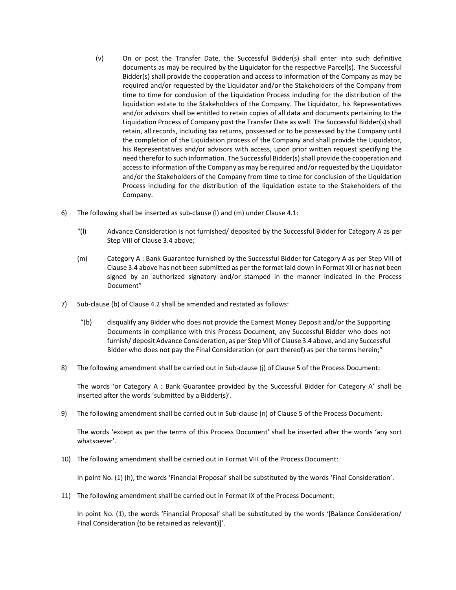- (v) On or post the Transfer Date, the Successful Bidder(s) shall enter into such definitive documents as may be required by the Liquidator for the respective Parcel(s). The Successful Bidder(s) shall provide the cooperation and access to information of the Company as may be required and/or requested by the Liquidator and/or the Stakeholders of the Company from time to time for conclusion of the Liquidation Process including for the distribution of the liquidation estate to the Stakeholders of the Company. The Liquidator, his Representatives and/or advisors shall be entitled to retain copies of all data and documents pertaining to the Liquidation Process of Company post the Transfer Date as well. The Successful Bidder(s) shall retain, all records, including tax returns, possessed or to be possessed by the Company until the completion of the Liquidation process of the Company and shall provide the Liquidator, his Representatives and/or advisors with access, upon prior written request specifying the need therefor to such information. The Successful Bidder(s) shall provide the cooperation and access to information of the Company as may be required and/or requested by the Liquidator and/or the Stakeholders of the Company from time to time for conclusion of the Liquidation Process including for the distribution of the liquidation estate to the Stakeholders of the Company.
- 6) The following shall be inserted as sub-clause (l) and (m) under Clause 4.1:
	- "(l) Advance Consideration is not furnished/ deposited by the Successful Bidder for Category A as per Step VIII of Clause 3.4 above;
	- (m) Category A : Bank Guarantee furnished by the Successful Bidder for Category A as per Step VIII of Clause 3.4 above has not been submitted as per the format laid down in Format XII or has not been signed by an authorized signatory and/or stamped in the manner indicated in the Process Document"
- 7) Sub-clause (b) of Clause 4.2 shall be amended and restated as follows:
	- "(b) disqualify any Bidder who does not provide the Earnest Money Deposit and/or the Supporting Documents in compliance with this Process Document, any Successful Bidder who does not furnish/ deposit Advance Consideration, as per Step VIII of Clause 3.4 above, and any Successful Bidder who does not pay the Final Consideration (or part thereof) as per the terms herein;"
- 8) The following amendment shall be carried out in Sub-clause (j) of Clause 5 of the Process Document:

The words 'or Category A : Bank Guarantee provided by the Successful Bidder for Category A' shall be inserted after the words 'submitted by a Bidder(s)'.

9) The following amendment shall be carried out in Sub-clause (n) of Clause 5 of the Process Document:

The words 'except as per the terms of this Process Document' shall be inserted after the words 'any sort whatsoever'.

10) The following amendment shall be carried out in Format VIII of the Process Document:

In point No. (1) (h), the words 'Financial Proposal' shall be substituted by the words 'Final Consideration'.

11) The following amendment shall be carried out in Format IX of the Process Document:

In point No. (1), the words 'Financial Proposal' shall be substituted by the words '[Balance Consideration/ Final Consideration (to be retained as relevant)]'.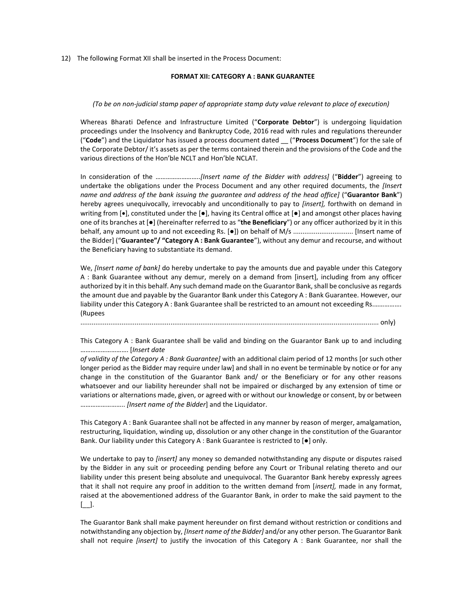12) The following Format XII shall be inserted in the Process Document:

#### FORMAT XII: CATEGORY A : BANK GUARANTEE

### (To be on non-judicial stamp paper of appropriate stamp duty value relevant to place of execution)

Whereas Bharati Defence and Infrastructure Limited ("Corporate Debtor") is undergoing liquidation proceedings under the Insolvency and Bankruptcy Code, 2016 read with rules and regulations thereunder ("Code") and the Liquidator has issued a process document dated \_\_ ("Process Document") for the sale of the Corporate Debtor/ it's assets as per the terms contained therein and the provisions of the Code and the various directions of the Hon'ble NCLT and Hon'ble NCLAT.

In consideration of the ……………………..[Insert name of the Bidder with address] ("Bidder") agreeing to undertake the obligations under the Process Document and any other required documents, the *[Insert* name and address of the bank issuing the quarantee and address of the head office] ("Guarantor Bank") hereby agrees unequivocally, irrevocably and unconditionally to pay to [insert], forthwith on demand in writing from  $[\bullet]$ , constituted under the  $[\bullet]$ , having its Central office at  $[\bullet]$  and amongst other places having one of its branches at  $\Theta$  (hereinafter referred to as "the Beneficiary") or any officer authorized by it in this behalf, any amount up to and not exceeding Rs. [●]) on behalf of M/s ................................ [Insert name of the Bidder] ("Guarantee"/ "Category A : Bank Guarantee"), without any demur and recourse, and without the Beneficiary having to substantiate its demand.

We, [Insert name of bank] do hereby undertake to pay the amounts due and payable under this Category A : Bank Guarantee without any demur, merely on a demand from [insert], including from any officer authorized by it in this behalf. Any such demand made on the Guarantor Bank, shall be conclusive as regards the amount due and payable by the Guarantor Bank under this Category A : Bank Guarantee. However, our liability under this Category A : Bank Guarantee shall be restricted to an amount not exceeding Rs.……………. (Rupees

............................................................................................................................................................... only)

This Category A : Bank Guarantee shall be valid and binding on the Guarantor Bank up to and including ………………………. [Insert date

of validity of the Category A : Bank Guarantee] with an additional claim period of 12 months [or such other longer period as the Bidder may require under law] and shall in no event be terminable by notice or for any change in the constitution of the Guarantor Bank and/ or the Beneficiary or for any other reasons whatsoever and our liability hereunder shall not be impaired or discharged by any extension of time or variations or alternations made, given, or agreed with or without our knowledge or consent, by or between …………………….. [Insert name of the Bidder] and the Liquidator.

This Category A : Bank Guarantee shall not be affected in any manner by reason of merger, amalgamation, restructuring, liquidation, winding up, dissolution or any other change in the constitution of the Guarantor Bank. Our liability under this Category A : Bank Guarantee is restricted to [●] only.

We undertake to pay to [insert] any money so demanded notwithstanding any dispute or disputes raised by the Bidder in any suit or proceeding pending before any Court or Tribunal relating thereto and our liability under this present being absolute and unequivocal. The Guarantor Bank hereby expressly agrees that it shall not require any proof in addition to the written demand from [insert], made in any format, raised at the abovementioned address of the Guarantor Bank, in order to make the said payment to the [\_\_].

The Guarantor Bank shall make payment hereunder on first demand without restriction or conditions and notwithstanding any objection by, [Insert name of the Bidder] and/or any other person. The Guarantor Bank shall not require *[insert]* to justify the invocation of this Category A : Bank Guarantee, nor shall the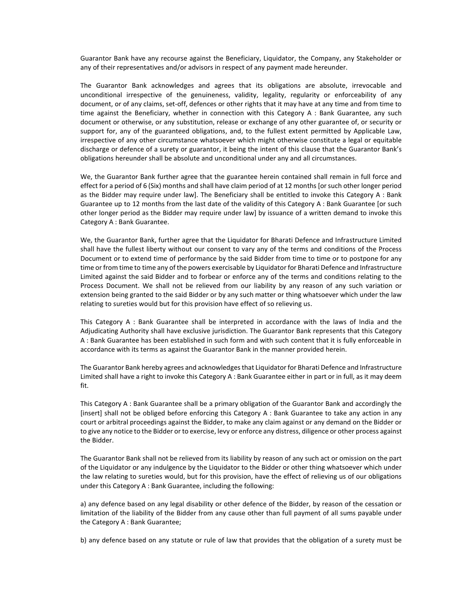Guarantor Bank have any recourse against the Beneficiary, Liquidator, the Company, any Stakeholder or any of their representatives and/or advisors in respect of any payment made hereunder.

The Guarantor Bank acknowledges and agrees that its obligations are absolute, irrevocable and unconditional irrespective of the genuineness, validity, legality, regularity or enforceability of any document, or of any claims, set-off, defences or other rights that it may have at any time and from time to time against the Beneficiary, whether in connection with this Category A : Bank Guarantee, any such document or otherwise, or any substitution, release or exchange of any other guarantee of, or security or support for, any of the guaranteed obligations, and, to the fullest extent permitted by Applicable Law, irrespective of any other circumstance whatsoever which might otherwise constitute a legal or equitable discharge or defence of a surety or guarantor, it being the intent of this clause that the Guarantor Bank's obligations hereunder shall be absolute and unconditional under any and all circumstances.

We, the Guarantor Bank further agree that the guarantee herein contained shall remain in full force and effect for a period of 6 (Six) months and shall have claim period of at 12 months [or such other longer period as the Bidder may require under law]. The Beneficiary shall be entitled to invoke this Category A : Bank Guarantee up to 12 months from the last date of the validity of this Category A : Bank Guarantee [or such other longer period as the Bidder may require under law] by issuance of a written demand to invoke this Category A : Bank Guarantee.

We, the Guarantor Bank, further agree that the Liquidator for Bharati Defence and Infrastructure Limited shall have the fullest liberty without our consent to vary any of the terms and conditions of the Process Document or to extend time of performance by the said Bidder from time to time or to postpone for any time or from time to time any of the powers exercisable by Liquidator for Bharati Defence and Infrastructure Limited against the said Bidder and to forbear or enforce any of the terms and conditions relating to the Process Document. We shall not be relieved from our liability by any reason of any such variation or extension being granted to the said Bidder or by any such matter or thing whatsoever which under the law relating to sureties would but for this provision have effect of so relieving us.

This Category A : Bank Guarantee shall be interpreted in accordance with the laws of India and the Adjudicating Authority shall have exclusive jurisdiction. The Guarantor Bank represents that this Category A : Bank Guarantee has been established in such form and with such content that it is fully enforceable in accordance with its terms as against the Guarantor Bank in the manner provided herein.

The Guarantor Bank hereby agrees and acknowledges that Liquidator for Bharati Defence and Infrastructure Limited shall have a right to invoke this Category A : Bank Guarantee either in part or in full, as it may deem fit.

This Category A : Bank Guarantee shall be a primary obligation of the Guarantor Bank and accordingly the [insert] shall not be obliged before enforcing this Category A : Bank Guarantee to take any action in any court or arbitral proceedings against the Bidder, to make any claim against or any demand on the Bidder or to give any notice to the Bidder or to exercise, levy or enforce any distress, diligence or other process against the Bidder.

The Guarantor Bank shall not be relieved from its liability by reason of any such act or omission on the part of the Liquidator or any indulgence by the Liquidator to the Bidder or other thing whatsoever which under the law relating to sureties would, but for this provision, have the effect of relieving us of our obligations under this Category A : Bank Guarantee, including the following:

a) any defence based on any legal disability or other defence of the Bidder, by reason of the cessation or limitation of the liability of the Bidder from any cause other than full payment of all sums payable under the Category A : Bank Guarantee;

b) any defence based on any statute or rule of law that provides that the obligation of a surety must be